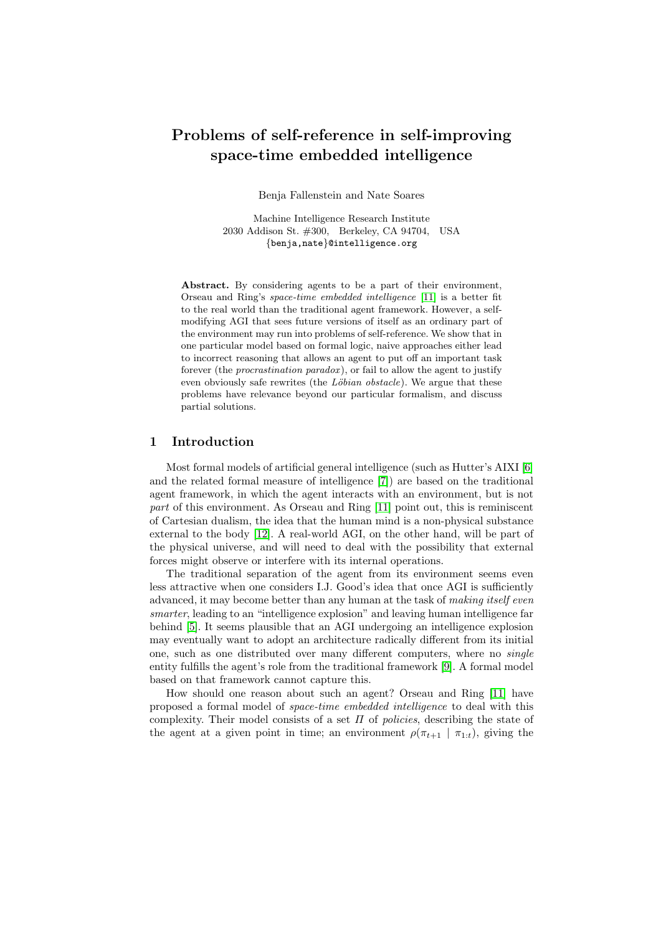# Problems of self-reference in self-improving space-time embedded intelligence

Benja Fallenstein and Nate Soares

Machine Intelligence Research Institute 2030 Addison St. #300, Berkeley, CA 94704, USA {benja,nate}@intelligence.org

Abstract. By considering agents to be a part of their environment, Orseau and Ring's space-time embedded intelligence [\[11\]](#page-11-0) is a better fit to the real world than the traditional agent framework. However, a selfmodifying AGI that sees future versions of itself as an ordinary part of the environment may run into problems of self-reference. We show that in one particular model based on formal logic, naive approaches either lead to incorrect reasoning that allows an agent to put off an important task forever (the procrastination paradox ), or fail to allow the agent to justify even obviously safe rewrites (the  $L\ddot{o}bian\; obstacle$ ). We argue that these problems have relevance beyond our particular formalism, and discuss partial solutions.

## 1 Introduction

Most formal models of artificial general intelligence (such as Hutter's AIXI [\[6\]](#page-10-0) and the related formal measure of intelligence [\[7\]](#page-10-1)) are based on the traditional agent framework, in which the agent interacts with an environment, but is not part of this environment. As Orseau and Ring [\[11\]](#page-11-0) point out, this is reminiscent of Cartesian dualism, the idea that the human mind is a non-physical substance external to the body [\[12\]](#page-11-1). A real-world AGI, on the other hand, will be part of the physical universe, and will need to deal with the possibility that external forces might observe or interfere with its internal operations.

The traditional separation of the agent from its environment seems even less attractive when one considers I.J. Good's idea that once AGI is sufficiently advanced, it may become better than any human at the task of making itself even smarter, leading to an "intelligence explosion" and leaving human intelligence far behind [\[5\]](#page-10-2). It seems plausible that an AGI undergoing an intelligence explosion may eventually want to adopt an architecture radically different from its initial one, such as one distributed over many different computers, where no *single* entity fulfills the agent's role from the traditional framework [\[9\]](#page-10-3). A formal model based on that framework cannot capture this.

How should one reason about such an agent? Orseau and Ring [\[11\]](#page-11-0) have proposed a formal model of space-time embedded intelligence to deal with this complexity. Their model consists of a set  $\Pi$  of *policies*, describing the state of the agent at a given point in time; an environment  $\rho(\pi_{t+1} | \pi_{1:t})$ , giving the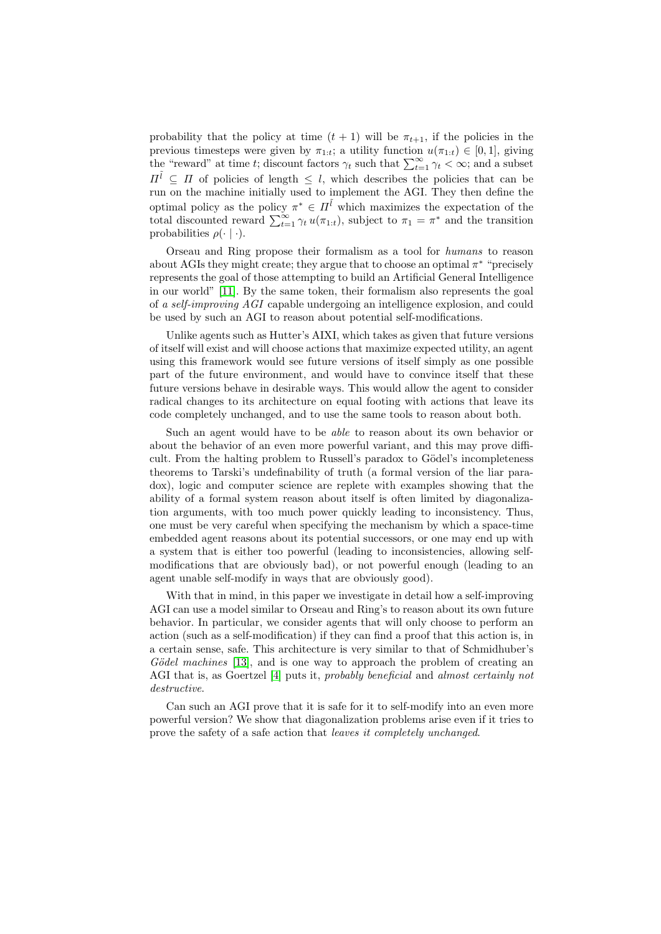probability that the policy at time  $(t + 1)$  will be  $\pi_{t+1}$ , if the policies in the previous timesteps were given by  $\pi_{1:t}$ ; a utility function  $u(\pi_{1:t}) \in [0,1]$ , giving the "reward" at time t; discount factors  $\gamma_t$  such that  $\sum_{t=1}^{\infty} \gamma_t < \infty$ ; and a subset  $\Pi^{\tilde{l}} \subseteq \Pi$  of policies of length  $\leq l$ , which describes the policies that can be run on the machine initially used to implement the AGI. They then define the optimal policy as the policy  $\pi^* \in \Pi^{\tilde{l}}$  which maximizes the expectation of the total discounted reward  $\sum_{t=1}^{\infty} \gamma_t u(\pi_{1:t})$ , subject to  $\pi_1 = \pi^*$  and the transition probabilities  $\rho(\cdot | \cdot)$ .

Orseau and Ring propose their formalism as a tool for humans to reason about AGIs they might create; they argue that to choose an optimal  $\pi^*$  "precisely represents the goal of those attempting to build an Artificial General Intelligence in our world" [\[11\]](#page-11-0). By the same token, their formalism also represents the goal of a self-improving AGI capable undergoing an intelligence explosion, and could be used by such an AGI to reason about potential self-modifications.

Unlike agents such as Hutter's AIXI, which takes as given that future versions of itself will exist and will choose actions that maximize expected utility, an agent using this framework would see future versions of itself simply as one possible part of the future environment, and would have to convince itself that these future versions behave in desirable ways. This would allow the agent to consider radical changes to its architecture on equal footing with actions that leave its code completely unchanged, and to use the same tools to reason about both.

Such an agent would have to be able to reason about its own behavior or about the behavior of an even more powerful variant, and this may prove difficult. From the halting problem to Russell's paradox to Gödel's incompleteness theorems to Tarski's undefinability of truth (a formal version of the liar paradox), logic and computer science are replete with examples showing that the ability of a formal system reason about itself is often limited by diagonalization arguments, with too much power quickly leading to inconsistency. Thus, one must be very careful when specifying the mechanism by which a space-time embedded agent reasons about its potential successors, or one may end up with a system that is either too powerful (leading to inconsistencies, allowing selfmodifications that are obviously bad), or not powerful enough (leading to an agent unable self-modify in ways that are obviously good).

With that in mind, in this paper we investigate in detail how a self-improving AGI can use a model similar to Orseau and Ring's to reason about its own future behavior. In particular, we consider agents that will only choose to perform an action (such as a self-modification) if they can find a proof that this action is, in a certain sense, safe. This architecture is very similar to that of Schmidhuber's  $Gödel$  machines [\[13\]](#page-11-2), and is one way to approach the problem of creating an AGI that is, as Goertzel [\[4\]](#page-10-4) puts it, *probably beneficial* and *almost certainly not* destructive.

Can such an AGI prove that it is safe for it to self-modify into an even more powerful version? We show that diagonalization problems arise even if it tries to prove the safety of a safe action that leaves it completely unchanged.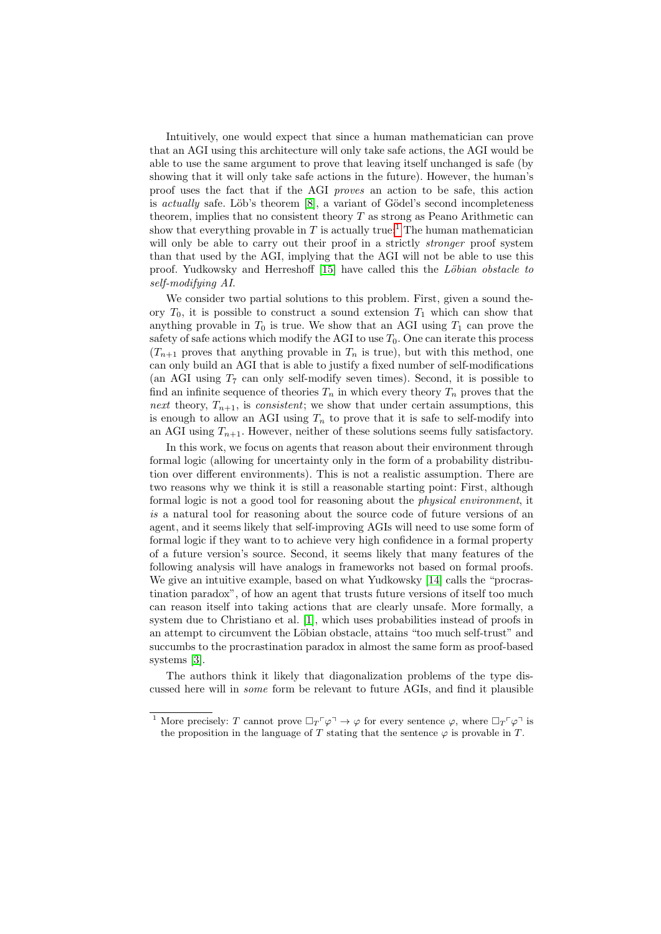Intuitively, one would expect that since a human mathematician can prove that an AGI using this architecture will only take safe actions, the AGI would be able to use the same argument to prove that leaving itself unchanged is safe (by showing that it will only take safe actions in the future). However, the human's proof uses the fact that if the AGI proves an action to be safe, this action is *actually* safe. Löb's theorem  $[8]$ , a variant of Gödel's second incompleteness theorem, implies that no consistent theory  $T$  as strong as Peano Arithmetic can show that everything provable in  $T$  is actually true:<sup>[1](#page-2-0)</sup> The human mathematician will only be able to carry out their proof in a strictly *stronger* proof system than that used by the AGI, implying that the AGI will not be able to use this proof. Yudkowsky and Herreshoff [\[15\]](#page-11-3) have called this the Löbian obstacle to self-modifying AI.

We consider two partial solutions to this problem. First, given a sound theory  $T_0$ , it is possible to construct a sound extension  $T_1$  which can show that anything provable in  $T_0$  is true. We show that an AGI using  $T_1$  can prove the safety of safe actions which modify the AGI to use  $T_0$ . One can iterate this process  $(T_{n+1}$  proves that anything provable in  $T_n$  is true), but with this method, one can only build an AGI that is able to justify a fixed number of self-modifications (an AGI using  $T_7$  can only self-modify seven times). Second, it is possible to find an infinite sequence of theories  $T_n$  in which every theory  $T_n$  proves that the next theory,  $T_{n+1}$ , is consistent; we show that under certain assumptions, this is enough to allow an AGI using  $T_n$  to prove that it is safe to self-modify into an AGI using  $T_{n+1}$ . However, neither of these solutions seems fully satisfactory.

In this work, we focus on agents that reason about their environment through formal logic (allowing for uncertainty only in the form of a probability distribution over different environments). This is not a realistic assumption. There are two reasons why we think it is still a reasonable starting point: First, although formal logic is not a good tool for reasoning about the physical environment, it is a natural tool for reasoning about the source code of future versions of an agent, and it seems likely that self-improving AGIs will need to use some form of formal logic if they want to to achieve very high confidence in a formal property of a future version's source. Second, it seems likely that many features of the following analysis will have analogs in frameworks not based on formal proofs. We give an intuitive example, based on what Yudkowsky [\[14\]](#page-11-4) calls the "procrastination paradox", of how an agent that trusts future versions of itself too much can reason itself into taking actions that are clearly unsafe. More formally, a system due to Christiano et al. [\[1\]](#page-10-6), which uses probabilities instead of proofs in an attempt to circumvent the Löbian obstacle, attains "too much self-trust" and succumbs to the procrastination paradox in almost the same form as proof-based systems [\[3\]](#page-10-7).

The authors think it likely that diagonalization problems of the type discussed here will in some form be relevant to future AGIs, and find it plausible

<span id="page-2-0"></span><sup>&</sup>lt;sup>1</sup> More precisely: T cannot prove  $\Box_T \ulcorner \varphi \urcorner \rightarrow \varphi$  for every sentence  $\varphi$ , where  $\Box_T \ulcorner \varphi \urcorner$  is the proposition in the language of T stating that the sentence  $\varphi$  is provable in T.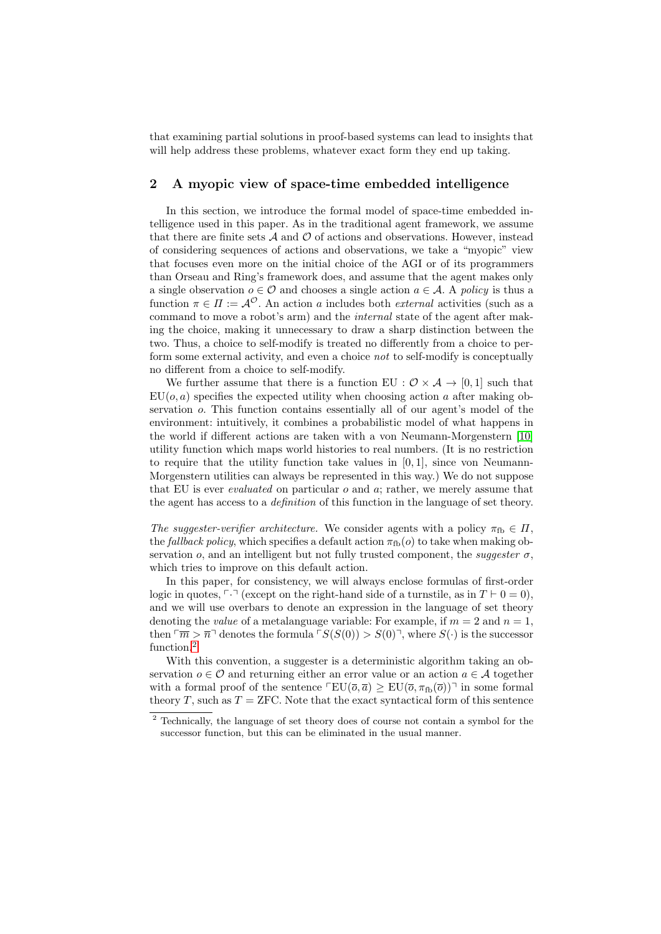that examining partial solutions in proof-based systems can lead to insights that will help address these problems, whatever exact form they end up taking.

#### 2 A myopic view of space-time embedded intelligence

In this section, we introduce the formal model of space-time embedded intelligence used in this paper. As in the traditional agent framework, we assume that there are finite sets  $A$  and  $O$  of actions and observations. However, instead of considering sequences of actions and observations, we take a "myopic" view that focuses even more on the initial choice of the AGI or of its programmers than Orseau and Ring's framework does, and assume that the agent makes only a single observation  $o \in \mathcal{O}$  and chooses a single action  $a \in \mathcal{A}$ . A policy is thus a function  $\pi \in \Pi := \mathcal{A}^{\mathcal{O}}$ . An action a includes both *external* activities (such as a command to move a robot's arm) and the internal state of the agent after making the choice, making it unnecessary to draw a sharp distinction between the two. Thus, a choice to self-modify is treated no differently from a choice to perform some external activity, and even a choice not to self-modify is conceptually no different from a choice to self-modify.

We further assume that there is a function EU :  $\mathcal{O} \times \mathcal{A} \rightarrow [0,1]$  such that  $EU(o, a)$  specifies the expected utility when choosing action a after making observation o. This function contains essentially all of our agent's model of the environment: intuitively, it combines a probabilistic model of what happens in the world if different actions are taken with a von Neumann-Morgenstern [\[10\]](#page-10-8) utility function which maps world histories to real numbers. (It is no restriction to require that the utility function take values in  $[0, 1]$ , since von Neumann-Morgenstern utilities can always be represented in this way.) We do not suppose that EU is ever *evaluated* on particular  $o$  and  $a$ ; rather, we merely assume that the agent has access to a definition of this function in the language of set theory.

The suggester-verifier architecture. We consider agents with a policy  $\pi_{\text{fb}} \in \Pi$ , the fallback policy, which specifies a default action  $\pi_{\text{fb}}(o)$  to take when making observation o, and an intelligent but not fully trusted component, the *suggester*  $\sigma$ , which tries to improve on this default action.

In this paper, for consistency, we will always enclose formulas of first-order logic in quotes,  $\lceil \cdot \rceil$  (except on the right-hand side of a turnstile, as in  $T \vdash 0 = 0$ ), and we will use overbars to denote an expression in the language of set theory denoting the *value* of a metalanguage variable: For example, if  $m = 2$  and  $n = 1$ , then  $\lceil \overline{m} \rceil \geq \overline{n} \rceil$  denotes the formula  $\lceil S(S(0)) \rceil \leq S(0) \rceil$ , where  $S(\cdot)$  is the successor function.<sup>[2](#page-3-0)</sup>

With this convention, a suggester is a deterministic algorithm taking an observation  $o \in \mathcal{O}$  and returning either an error value or an action  $a \in \mathcal{A}$  together with a formal proof of the sentence  $\text{FEU}(\overline{o}, \overline{a}) \geq \text{EU}(\overline{o}, \pi_{\text{fb}}(\overline{o}))$  in some formal theory T, such as  $T = \text{ZFC}$ . Note that the exact syntactical form of this sentence

<span id="page-3-0"></span><sup>2</sup> Technically, the language of set theory does of course not contain a symbol for the successor function, but this can be eliminated in the usual manner.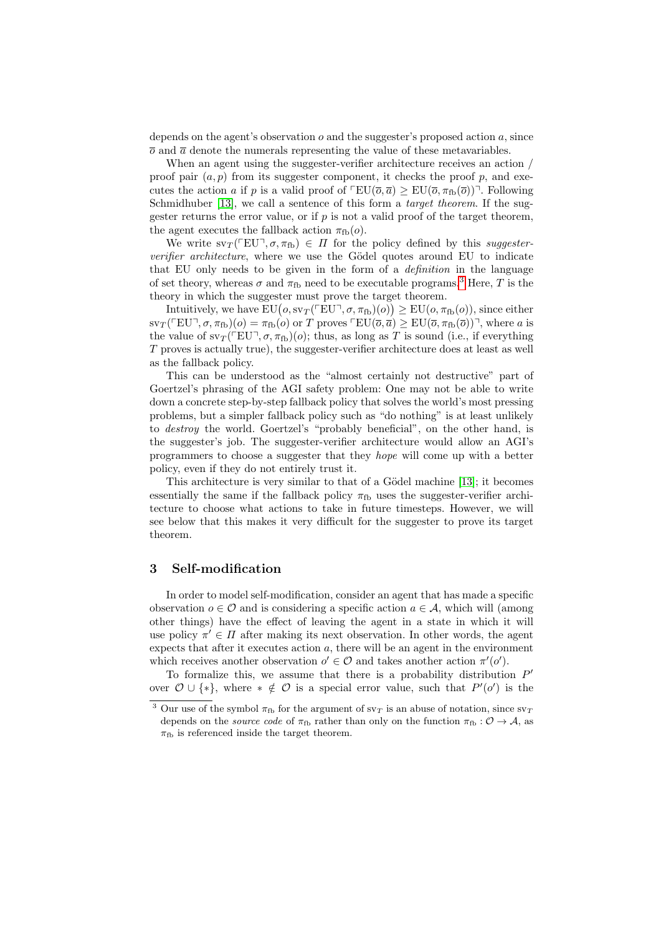depends on the agent's observation  $o$  and the suggester's proposed action  $a$ , since  $\overline{o}$  and  $\overline{a}$  denote the numerals representing the value of these metavariables.

When an agent using the suggester-verifier architecture receives an action / proof pair  $(a, p)$  from its suggester component, it checks the proof p, and executes the action a if p is a valid proof of  $\text{FEU}(\overline{o}, \overline{a}) \geq \text{EU}(\overline{o}, \pi_{\text{fb}}(\overline{o}))$ . Following Schmidhuber [\[13\]](#page-11-2), we call a sentence of this form a *target theorem*. If the suggester returns the error value, or if  $p$  is not a valid proof of the target theorem, the agent executes the fallback action  $\pi_{\text{fb}}(o)$ .

We write  $\text{sv}_T(\text{EU}^{\mathsf{T}}, \sigma, \pi_{\text{fb}}) \in \Pi$  for the policy defined by this suggesterverifier architecture, where we use the Gödel quotes around EU to indicate that EU only needs to be given in the form of a definition in the language of set theory, whereas  $\sigma$  and  $\pi_{\text{fb}}$  need to be executable programs.<sup>[3](#page-4-0)</sup> Here, T is the theory in which the suggester must prove the target theorem.

Intuitively, we have  $EU(o, sv_T(\ulcorner EU \urcorner, \sigma, \pi_{fb})(o)) \geq EU(o, \pi_{fb}(o)),$  since either  $\text{sv}_T(\ulcorner \text{EU} \urcorner, \sigma, \pi_{\text{fb}})(o) = \pi_{\text{fb}}(o)$  or T proves  $\ulcorner \text{EU}(\overline{o}, \overline{a}) \geq \text{EU}(\overline{o}, \pi_{\text{fb}}(\overline{o})) \urcorner$ , where a is the value of  $\text{sv}_T(\text{F}U^{\top}, \sigma, \pi_{\text{fb}})(o)$ ; thus, as long as T is sound (i.e., if everything T proves is actually true), the suggester-verifier architecture does at least as well as the fallback policy.

This can be understood as the "almost certainly not destructive" part of Goertzel's phrasing of the AGI safety problem: One may not be able to write down a concrete step-by-step fallback policy that solves the world's most pressing problems, but a simpler fallback policy such as "do nothing" is at least unlikely to destroy the world. Goertzel's "probably beneficial", on the other hand, is the suggester's job. The suggester-verifier architecture would allow an AGI's programmers to choose a suggester that they hope will come up with a better policy, even if they do not entirely trust it.

This architecture is very similar to that of a Gödel machine [\[13\]](#page-11-2); it becomes essentially the same if the fallback policy  $\pi_{\text{fb}}$  uses the suggester-verifier architecture to choose what actions to take in future timesteps. However, we will see below that this makes it very difficult for the suggester to prove its target theorem.

#### <span id="page-4-1"></span>3 Self-modification

In order to model self-modification, consider an agent that has made a specific observation  $o \in \mathcal{O}$  and is considering a specific action  $a \in \mathcal{A}$ , which will (among other things) have the effect of leaving the agent in a state in which it will use policy  $\pi' \in \Pi$  after making its next observation. In other words, the agent expects that after it executes action  $a$ , there will be an agent in the environment which receives another observation  $o' \in \mathcal{O}$  and takes another action  $\pi'(o')$ .

To formalize this, we assume that there is a probability distribution  $P'$ over  $\mathcal{O} \cup \{*\}$ , where  $* \notin \mathcal{O}$  is a special error value, such that  $P'(o')$  is the

<span id="page-4-0"></span> $\frac{3}{3}$  Our use of the symbol  $\pi_{\text{fb}}$  for the argument of sv<sub>T</sub> is an abuse of notation, since sv<sub>T</sub> depends on the *source code* of  $\pi_{\text{fb}}$  rather than only on the function  $\pi_{\text{fb}} : \mathcal{O} \to \mathcal{A}$ , as  $\pi_{\text{fb}}$  is referenced inside the target theorem.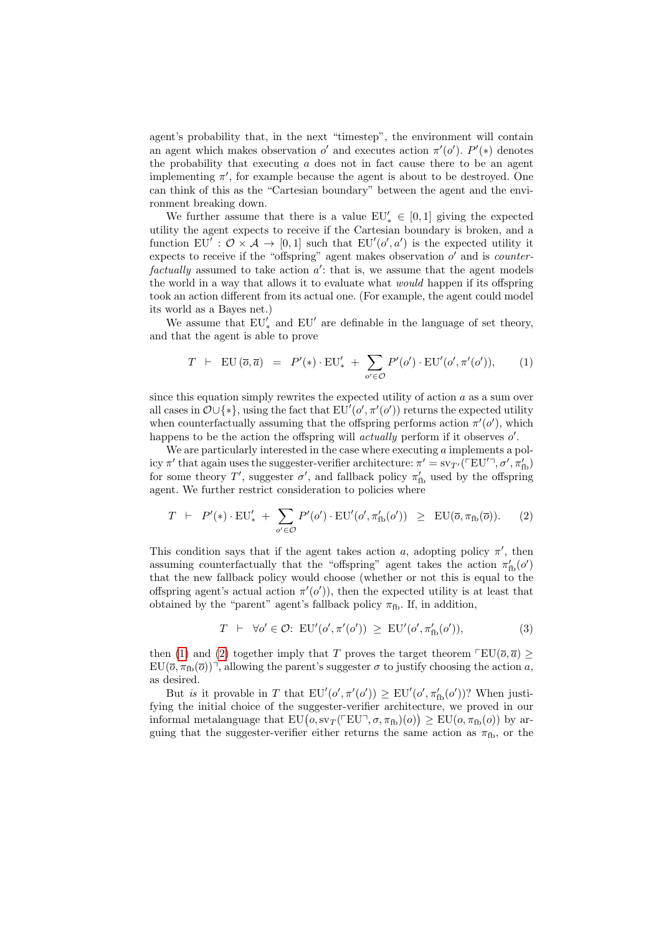agent's probability that, in the next "timestep", the environment will contain an agent which makes observation o' and executes action  $\pi'(\mathfrak{o}')$ .  $P'(*)$  denotes the probability that executing  $a$  does not in fact cause there to be an agent implementing  $\pi'$ , for example because the agent is about to be destroyed. One can think of this as the "Cartesian boundary" between the agent and the environment breaking down.

We further assume that there is a value  $EU'_* \in [0,1]$  giving the expected utility the agent expects to receive if the Cartesian boundary is broken, and a function  $EU' : \mathcal{O} \times \mathcal{A} \to [0,1]$  such that  $EU'(\rho', a')$  is the expected utility it expects to receive if the "offspring" agent makes observation  $o'$  and is *counter*- $\emph{factually$  assumed to take action  $a'$ : that is, we assume that the agent modelsthe world in a way that allows it to evaluate what would happen if its offspring took an action different from its actual one. (For example, the agent could model its world as a Bayes net.)

We assume that  $EU'_{*}$  and  $EU'$  are definable in the language of set theory, and that the agent is able to prove

<span id="page-5-0"></span>
$$
T \ \vdash \ \mathrm{EU}(\overline{o}, \overline{a}) \ = \ P'(*) \cdot \mathrm{EU}'_* \ + \ \sum_{o' \in \mathcal{O}} P'(o') \cdot \mathrm{EU}'(o', \pi'(o')), \qquad (1)
$$

since this equation simply rewrites the expected utility of action  $a$  as a sum over all cases in  $\mathcal{O}\cup\{*\}$ , using the fact that  $EU'(\rho', \pi'(\rho'))$  returns the expected utility when counterfactually assuming that the offspring performs action  $\pi'(o')$ , which happens to be the action the offspring will *actually* perform if it observes  $o'$ .

We are particularly interested in the case where executing a implements a policy  $\pi'$  that again uses the suggester-verifier architecture:  $\pi' = s v_{T'}$  ( $\ulcorner$ EU<sup> $\prime$ </sup>,  $\sigma', \pi'_{\text{fb}}$ ) for some theory  $T'$ , suggester  $\sigma'$ , and fallback policy  $\pi'_{\text{fb}}$  used by the offspring agent. We further restrict consideration to policies where

<span id="page-5-1"></span>
$$
T \ \vdash \ P'(*) \cdot \mathrm{EU}'_* \ + \ \sum_{o' \in \mathcal{O}} P'(o') \cdot \mathrm{EU}'(o', \pi'_{\mathrm{fb}}(o')) \ \geq \ \mathrm{EU}(\overline{o}, \pi_{\mathrm{fb}}(\overline{o})). \tag{2}
$$

This condition says that if the agent takes action a, adopting policy  $\pi'$ , then assuming counterfactually that the "offspring" agent takes the action  $\pi'_{\text{fb}}(o')$ that the new fallback policy would choose (whether or not this is equal to the offspring agent's actual action  $\pi'(\mathfrak{o}'))$ , then the expected utility is at least that obtained by the "parent" agent's fallback policy  $\pi_{\text{fb}}$ . If, in addition,

$$
T \ \vdash \ \forall o' \in \mathcal{O}: \ \mathrm{EU}'(o', \pi'(o')) \ \ge \ \mathrm{EU}'(o', \pi'_{\mathrm{fb}}(o')), \tag{3}
$$

then [\(1\)](#page-5-0) and [\(2\)](#page-5-1) together imply that T proves the target theorem  $\sqrt{\overline{c}}$   $\sqrt{\overline{a}}$  >  $EU(\overline{o}, \pi_{\text{fb}}(\overline{o}))$ <sup>7</sup>, allowing the parent's suggester  $\sigma$  to justify choosing the action a, as desired.

But is it provable in T that  $EU'(\rho', \pi'(\rho')) \geq EU'(\rho', \pi'_{\text{fb}}(\rho'))$ ? When justifying the initial choice of the suggester-verifier architecture, we proved in our informal metalanguage that  $EU(o, sv_T(\ulcorner EU \urcorner, \sigma, \pi_{fb})(o)) \geq EU(o, \pi_{fb}(o))$  by arguing that the suggester-verifier either returns the same action as  $\pi_{\text{fb}}$ , or the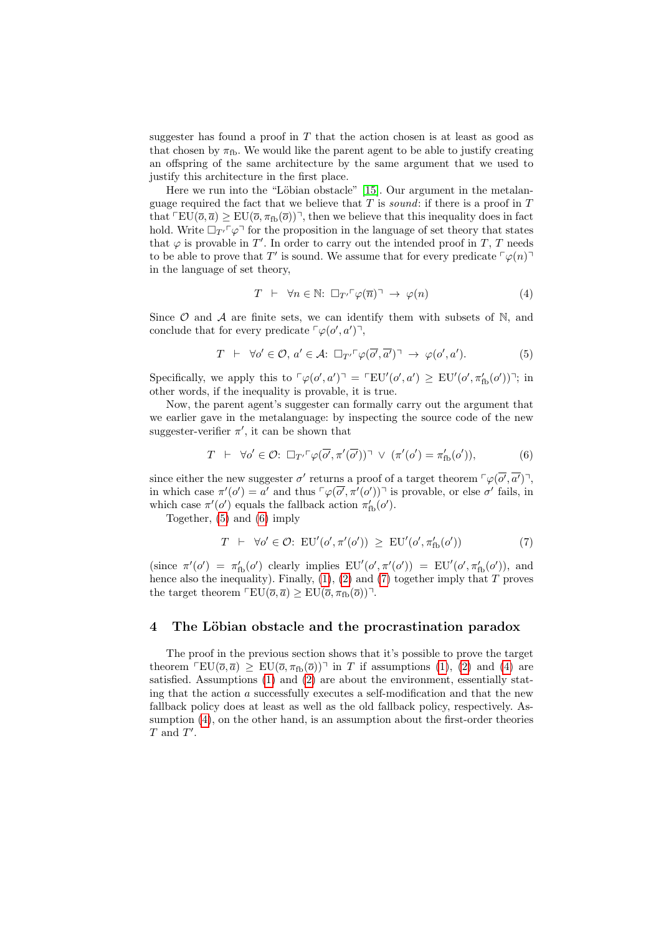suggester has found a proof in  $T$  that the action chosen is at least as good as that chosen by  $\pi_{\text{fb}}$ . We would like the parent agent to be able to justify creating an offspring of the same architecture by the same argument that we used to justify this architecture in the first place.

Here we run into the "Löbian obstacle" [\[15\]](#page-11-3). Our argument in the metalanguage required the fact that we believe that  $T$  is sound: if there is a proof in  $T$ that  $\text{TEU}(\overline{o}, \overline{a}) \geq \text{EU}(\overline{o}, \pi_{\text{fb}}(\overline{o}))$ , then we believe that this inequality does in fact hold. Write  $\Box_{T'}\Box_{\mathcal{O}}$  for the proposition in the language of set theory that states that  $\varphi$  is provable in T'. In order to carry out the intended proof in T, T needs to be able to prove that T' is sound. We assume that for every predicate  $\lceil \varphi(n) \rceil$ in the language of set theory,

<span id="page-6-3"></span>
$$
T \ \vdash \ \forall n \in \mathbb{N}: \ \Box_{T'} \ulcorner \varphi(\overline{n}) \urcorner \ \to \ \varphi(n) \tag{4}
$$

Since  $\mathcal O$  and  $\mathcal A$  are finite sets, we can identify them with subsets of N, and conclude that for every predicate  $\lceil \varphi(o', a') \rceil$ ,

<span id="page-6-0"></span>
$$
T \ \vdash \ \forall o' \in \mathcal{O}, a' \in \mathcal{A}: \ \Box_{T'} \ulcorner \varphi(\overline{o'}, \overline{a'}) \urcorner \ \to \ \varphi(o', a'). \tag{5}
$$

Specifically, we apply this to  $\ulcorner \varphi(\omicron', a')\urcorner = \ulcorner EU'(\omicron', a') \geq EU'(\omicron', \pi'_{\text{fb}}(\omicron'))\urcorner$ ; in other words, if the inequality is provable, it is true.

Now, the parent agent's suggester can formally carry out the argument that we earlier gave in the metalanguage: by inspecting the source code of the new suggester-verifier  $\pi'$ , it can be shown that

<span id="page-6-1"></span>
$$
T \ \vdash \ \forall o' \in \mathcal{O}: \ \Box_{T'} \ulcorner \varphi(\overline{o'}, \pi'(\overline{o'})) \urcorner \ \vee \ (\pi'(o') = \pi'_{\text{fb}}(o')), \tag{6}
$$

since either the new suggester  $\sigma'$  returns a proof of a target theorem  $\lceil \varphi(\overline{\sigma'}, \overline{\alpha'}) \rceil$ , in which case  $\pi'(o') = a'$  and thus  $\lceil \varphi(\overline{o'}, \pi'(o')) \rceil$  is provable, or else  $o'$  fails, in which case  $\pi'(o')$  equals the fallback action  $\pi'_{\text{fb}}(o')$ .

Together, [\(5\)](#page-6-0) and [\(6\)](#page-6-1) imply

<span id="page-6-2"></span>
$$
T \ \vdash \ \forall o' \in \mathcal{O}: \ EU'(o', \pi'(o')) \ \geq \ EU'(o', \pi'_{\text{fb}}(o')) \tag{7}
$$

(since  $\pi'(o') = \pi'_{\text{fb}}(o')$  clearly implies  $EU'(o', \pi'(o')) = EU'(o', \pi'_{\text{fb}}(o'))$ , and hence also the inequality). Finally,  $(1)$ ,  $(2)$  and  $(7)$  together imply that T proves the target theorem  $\sqrt{\text{EU}(\overline{o}, \overline{a})} \geq \text{EU}(\overline{o}, \pi_{\text{fb}}(\overline{o}))^T$ .

## 4 The Löbian obstacle and the procrastination paradox

The proof in the previous section shows that it's possible to prove the target theorem  $\text{FEU}(\overline{o}, \overline{a}) \geq \text{EU}(\overline{o}, \pi_{\text{fb}}(\overline{o}))$  in T if assumptions [\(1\)](#page-5-0), [\(2\)](#page-5-1) and [\(4\)](#page-6-3) are satisfied. Assumptions [\(1\)](#page-5-0) and [\(2\)](#page-5-1) are about the environment, essentially stating that the action a successfully executes a self-modification and that the new fallback policy does at least as well as the old fallback policy, respectively. Assumption  $(4)$ , on the other hand, is an assumption about the first-order theories  $T$  and  $T'$ .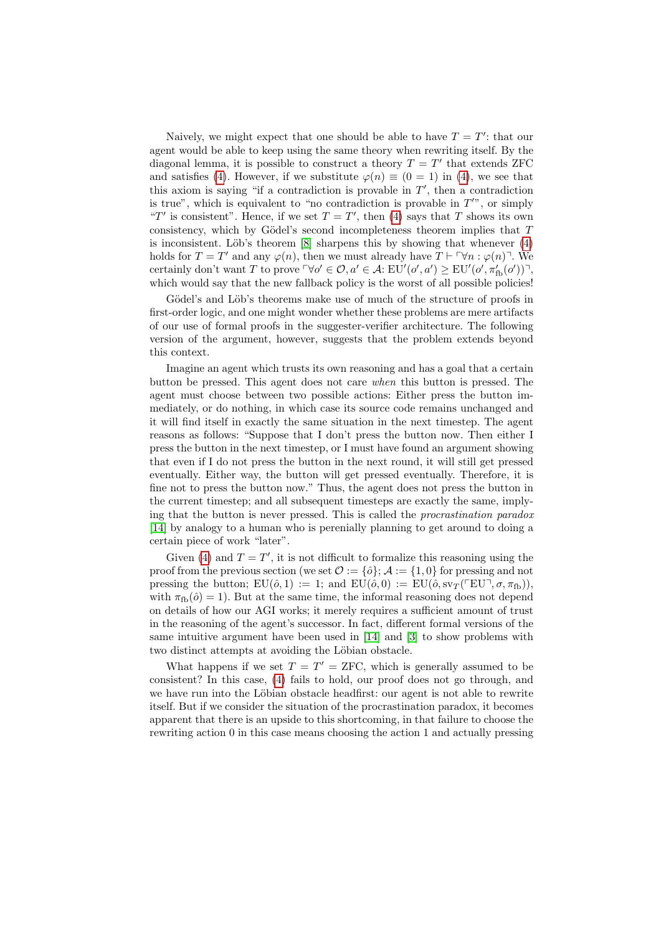Naively, we might expect that one should be able to have  $T = T'$ : that our agent would be able to keep using the same theory when rewriting itself. By the diagonal lemma, it is possible to construct a theory  $T = T'$  that extends ZFC and satisfies [\(4\)](#page-6-3). However, if we substitute  $\varphi(n) \equiv (0 = 1)$  in (4), we see that this axiom is saying "if a contradiction is provable in  $T'$ , then a contradiction is true", which is equivalent to "no contradiction is provable in  $T''$ ", or simply "T' is consistent". Hence, if we set  $T = T'$ , then [\(4\)](#page-6-3) says that T shows its own consistency, which by Gödel's second incompleteness theorem implies that  $T$ is inconsistent. Löb's theorem  $[8]$  sharpens this by showing that whenever  $(4)$ holds for  $T = T'$  and any  $\varphi(n)$ , then we must already have  $T \vdash \ulcorner \forall n : \varphi(n) \urcorner$ . We certainly don't want T to prove  $\ulcorner \forall o' \in \mathcal{O}, a' \in \mathcal{A}$ :  $\text{EU}'(o', a') \geq \text{EU}'(o', \pi'_{\text{fb}}(o'))$ <sup> $\urcorner$ </sup>, which would say that the new fallback policy is the worst of all possible policies!

Gödel's and Löb's theorems make use of much of the structure of proofs in first-order logic, and one might wonder whether these problems are mere artifacts of our use of formal proofs in the suggester-verifier architecture. The following version of the argument, however, suggests that the problem extends beyond this context.

Imagine an agent which trusts its own reasoning and has a goal that a certain button be pressed. This agent does not care when this button is pressed. The agent must choose between two possible actions: Either press the button immediately, or do nothing, in which case its source code remains unchanged and it will find itself in exactly the same situation in the next timestep. The agent reasons as follows: "Suppose that I don't press the button now. Then either I press the button in the next timestep, or I must have found an argument showing that even if I do not press the button in the next round, it will still get pressed eventually. Either way, the button will get pressed eventually. Therefore, it is fine not to press the button now." Thus, the agent does not press the button in the current timestep; and all subsequent timesteps are exactly the same, implying that the button is never pressed. This is called the procrastination paradox [\[14\]](#page-11-4) by analogy to a human who is perenially planning to get around to doing a certain piece of work "later".

Given [\(4\)](#page-6-3) and  $T = T'$ , it is not difficult to formalize this reasoning using the proof from the previous section (we set  $\mathcal{O} := \{\hat{o}\}; \mathcal{A} := \{1, 0\}$  for pressing and not pressing the button;  $EU(\hat{o}, 1) := 1$ ; and  $EU(\hat{o}, 0) := EU(\hat{o}, sv_T(\text{F}U^T, \sigma, \pi_{\text{fb}})),$ with  $\pi_{\text{fb}}(\hat{o}) = 1$ . But at the same time, the informal reasoning does not depend on details of how our AGI works; it merely requires a sufficient amount of trust in the reasoning of the agent's successor. In fact, different formal versions of the same intuitive argument have been used in [\[14\]](#page-11-4) and [\[3\]](#page-10-7) to show problems with two distinct attempts at avoiding the Löbian obstacle.

What happens if we set  $T = T' = ZFC$ , which is generally assumed to be consistent? In this case, [\(4\)](#page-6-3) fails to hold, our proof does not go through, and we have run into the Löbian obstacle headfirst: our agent is not able to rewrite itself. But if we consider the situation of the procrastination paradox, it becomes apparent that there is an upside to this shortcoming, in that failure to choose the rewriting action 0 in this case means choosing the action 1 and actually pressing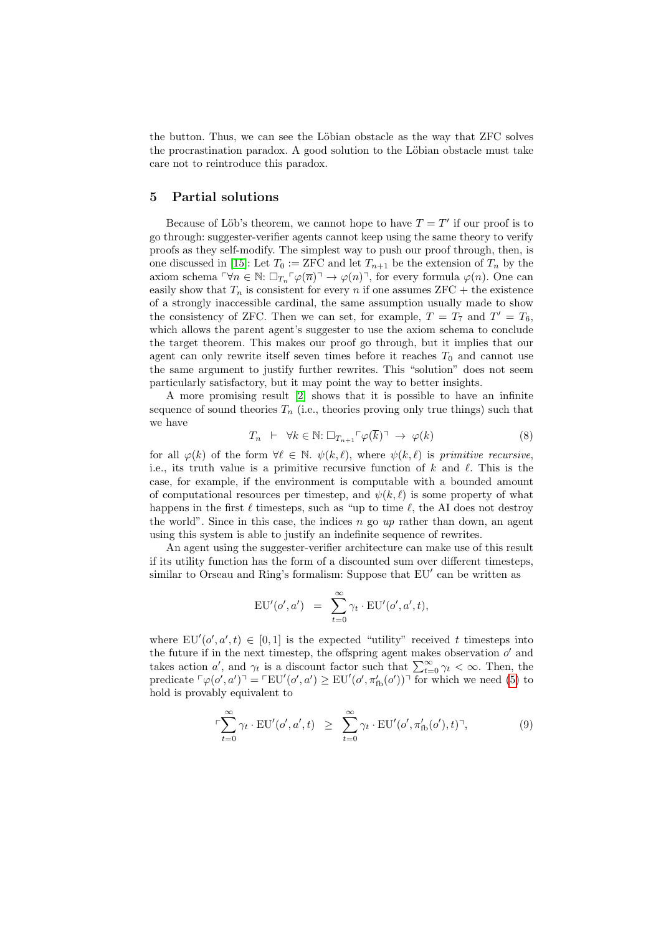the button. Thus, we can see the Löbian obstacle as the way that ZFC solves the procrastination paradox. A good solution to the Löbian obstacle must take care not to reintroduce this paradox.

## 5 Partial solutions

Because of Löb's theorem, we cannot hope to have  $T = T'$  if our proof is to go through: suggester-verifier agents cannot keep using the same theory to verify proofs as they self-modify. The simplest way to push our proof through, then, is one discussed in [\[15\]](#page-11-3): Let  $T_0 := ZFC$  and let  $T_{n+1}$  be the extension of  $T_n$  by the axiom schema  $\nabla n \in \mathbb{N}$ :  $\Box_{T_n} \ulcorner \varphi(\overline{n}) \urcorner \rightarrow \varphi(n) \urcorner$ , for every formula  $\varphi(n)$ . One can easily show that  $T_n$  is consistent for every n if one assumes  $ZFC +$  the existence of a strongly inaccessible cardinal, the same assumption usually made to show the consistency of ZFC. Then we can set, for example,  $T = T_7$  and  $T' = T_6$ , which allows the parent agent's suggester to use the axiom schema to conclude the target theorem. This makes our proof go through, but it implies that our agent can only rewrite itself seven times before it reaches  $T_0$  and cannot use the same argument to justify further rewrites. This "solution" does not seem particularly satisfactory, but it may point the way to better insights.

A more promising result [\[2\]](#page-10-9) shows that it is possible to have an infinite sequence of sound theories  $T_n$  (i.e., theories proving only true things) such that we have

<span id="page-8-1"></span>
$$
T_n \ \vdash \ \forall k \in \mathbb{N}: \Box_{T_{n+1}} \ulcorner \varphi(\overline{k}) \urcorner \ \to \ \varphi(k) \tag{8}
$$

for all  $\varphi(k)$  of the form  $\forall \ell \in \mathbb{N}$ .  $\psi(k, \ell)$ , where  $\psi(k, \ell)$  is primitive recursive, i.e., its truth value is a primitive recursive function of  $k$  and  $\ell$ . This is the case, for example, if the environment is computable with a bounded amount of computational resources per timestep, and  $\psi(k, \ell)$  is some property of what happens in the first  $\ell$  timesteps, such as "up to time  $\ell$ , the AI does not destroy the world". Since in this case, the indices  $n$  go up rather than down, an agent using this system is able to justify an indefinite sequence of rewrites.

An agent using the suggester-verifier architecture can make use of this result if its utility function has the form of a discounted sum over different timesteps, similar to Orseau and Ring's formalism: Suppose that  $EU'$  can be written as

$$
EU'(o',a') = \sum_{t=0}^{\infty} \gamma_t \cdot EU'(o',a',t),
$$

where  $EU' (o', a', t) \in [0, 1]$  is the expected "utility" received t timesteps into the future if in the next timestep, the offspring agent makes observation  $o'$  and takes action a', and  $\gamma_t$  is a discount factor such that  $\sum_{t=0}^{\infty} \gamma_t < \infty$ . Then, the predicate  $\ulcorner \varphi(\mathit{o}', \mathit{a}') = \ulcorner \mathbf{EU}'(\mathit{o}', \mathit{a}') \geq \mathbf{EU}'(\mathit{o}', \pi'_{\text{fb}}(\mathit{o}')) \urcorner$  for which we need [\(5\)](#page-6-0) to hold is provably equivalent to

<span id="page-8-0"></span>
$$
\ulcorner \sum_{t=0}^{\infty} \gamma_t \cdot \mathbf{EU}'(o', a', t) \geq \sum_{t=0}^{\infty} \gamma_t \cdot \mathbf{EU}'(o', \pi'_{\text{fb}}(o'), t) \rceil, \tag{9}
$$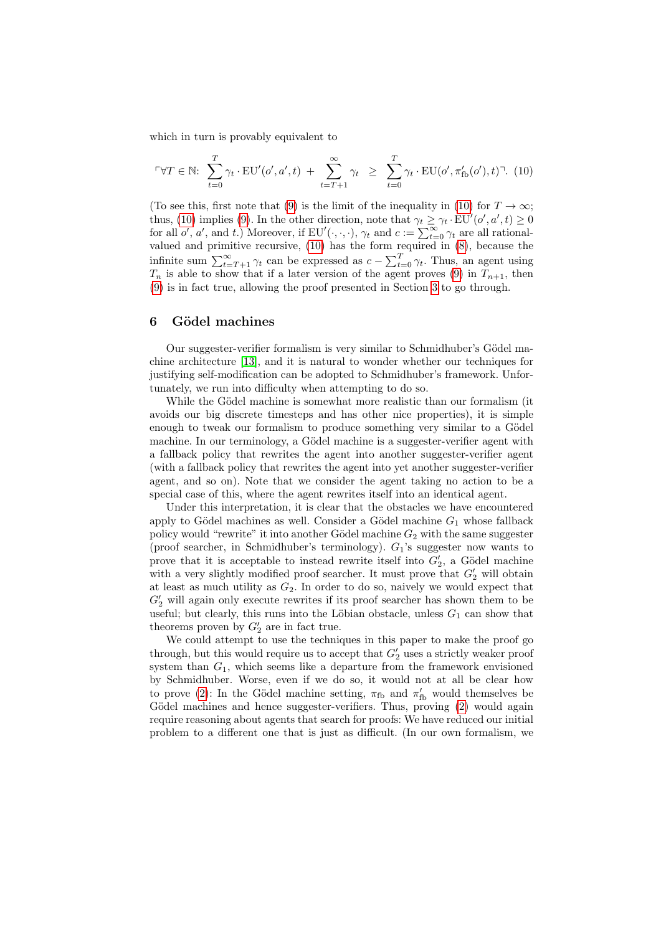which in turn is provably equivalent to

<span id="page-9-0"></span>
$$
\ulcorner \forall T \in \mathbb{N}: \sum_{t=0}^{T} \gamma_t \cdot \mathbf{E} \mathbf{U}'(o', a', t) + \sum_{t=T+1}^{\infty} \gamma_t \geq \sum_{t=0}^{T} \gamma_t \cdot \mathbf{E} \mathbf{U}(o', \pi'_{\text{fb}}(o'), t) \cdot \mathbf{U}(10)
$$

(To see this, first note that [\(9\)](#page-8-0) is the limit of the inequality in [\(10\)](#page-9-0) for  $T \to \infty$ ; thus, [\(10\)](#page-9-0) implies [\(9\)](#page-8-0). In the other direction, note that  $\gamma_t \geq \gamma_t \cdot \text{EU}'(o', a', t) \geq 0$ for all  $o', a',$  and t.) Moreover, if  $EU'(\cdot, \cdot, \cdot)$ ,  $\gamma_t$  and  $c := \sum_{t=0}^{\infty} \gamma_t$  are all rationalvalued and primitive recursive, [\(10\)](#page-9-0) has the form required in [\(8\)](#page-8-1), because the infinite sum  $\sum_{t=T+1}^{\infty} \gamma_t$  can be expressed as  $c - \sum_{t=0}^{T} \gamma_t$ . Thus, an agent using  $T_n$  is able to show that if a later version of the agent proves [\(9\)](#page-8-0) in  $T_{n+1}$ , then [\(9\)](#page-8-0) is in fact true, allowing the proof presented in Section [3](#page-4-1) to go through.

#### 6 G¨odel machines

Our suggester-verifier formalism is very similar to Schmidhuber's Gödel machine architecture [\[13\]](#page-11-2), and it is natural to wonder whether our techniques for justifying self-modification can be adopted to Schmidhuber's framework. Unfortunately, we run into difficulty when attempting to do so.

While the Gödel machine is somewhat more realistic than our formalism (it avoids our big discrete timesteps and has other nice properties), it is simple enough to tweak our formalism to produce something very similar to a Gödel machine. In our terminology, a Gödel machine is a suggester-verifier agent with a fallback policy that rewrites the agent into another suggester-verifier agent (with a fallback policy that rewrites the agent into yet another suggester-verifier agent, and so on). Note that we consider the agent taking no action to be a special case of this, where the agent rewrites itself into an identical agent.

Under this interpretation, it is clear that the obstacles we have encountered apply to Gödel machines as well. Consider a Gödel machine  $G_1$  whose fallback policy would "rewrite" it into another Gödel machine  $G_2$  with the same suggester (proof searcher, in Schmidhuber's terminology).  $G_1$ 's suggester now wants to prove that it is acceptable to instead rewrite itself into  $G'_2$ , a Gödel machine with a very slightly modified proof searcher. It must prove that  $G_2'$  will obtain at least as much utility as  $G_2$ . In order to do so, naively we would expect that  $G_2'$  will again only execute rewrites if its proof searcher has shown them to be useful; but clearly, this runs into the Löbian obstacle, unless  $G_1$  can show that theorems proven by  $G_2'$  are in fact true.

We could attempt to use the techniques in this paper to make the proof go through, but this would require us to accept that  $G_2'$  uses a strictly weaker proof system than  $G_1$ , which seems like a departure from the framework envisioned by Schmidhuber. Worse, even if we do so, it would not at all be clear how to prove [\(2\)](#page-5-1): In the Gödel machine setting,  $\pi_{\text{fb}}$  and  $\pi'_{\text{fb}}$  would themselves be Gödel machines and hence suggester-verifiers. Thus, proving [\(2\)](#page-5-1) would again require reasoning about agents that search for proofs: We have reduced our initial problem to a different one that is just as difficult. (In our own formalism, we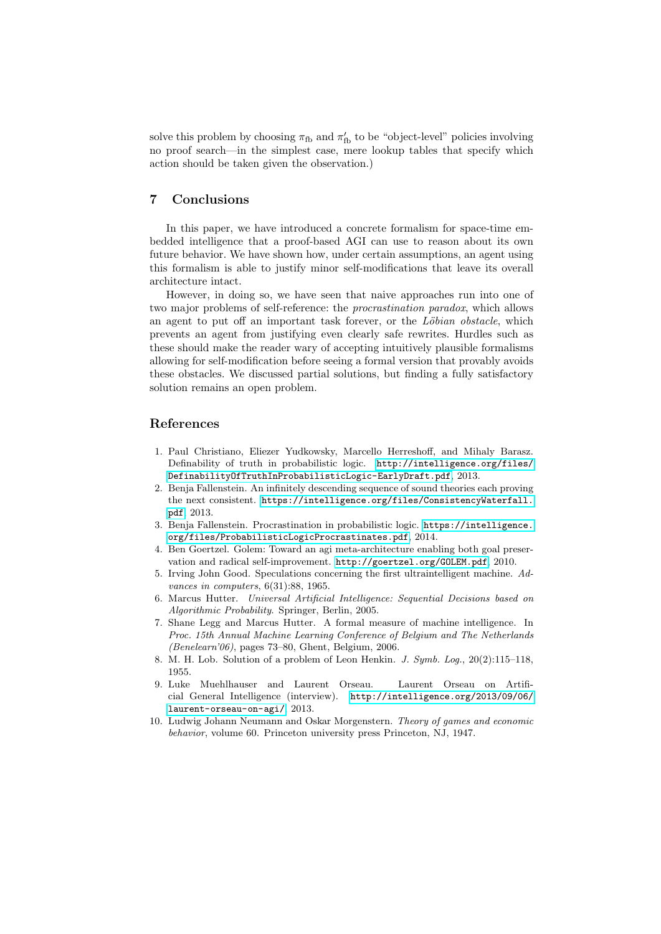solve this problem by choosing  $\pi_{\text{fb}}$  and  $\pi_{\text{fb}}'$  to be "object-level" policies involving no proof search—in the simplest case, mere lookup tables that specify which action should be taken given the observation.)

## 7 Conclusions

In this paper, we have introduced a concrete formalism for space-time embedded intelligence that a proof-based AGI can use to reason about its own future behavior. We have shown how, under certain assumptions, an agent using this formalism is able to justify minor self-modifications that leave its overall architecture intact.

However, in doing so, we have seen that naive approaches run into one of two major problems of self-reference: the *procrastination paradox*, which allows an agent to put off an important task forever, or the  $Löbian$  obstacle, which prevents an agent from justifying even clearly safe rewrites. Hurdles such as these should make the reader wary of accepting intuitively plausible formalisms allowing for self-modification before seeing a formal version that provably avoids these obstacles. We discussed partial solutions, but finding a fully satisfactory solution remains an open problem.

## References

- <span id="page-10-6"></span>1. Paul Christiano, Eliezer Yudkowsky, Marcello Herreshoff, and Mihaly Barasz. Definability of truth in probabilistic logic. [http://intelligence.org/files/](http://intelligence.org/files/DefinabilityOfTruthInProbabilisticLogic-EarlyDraft.pdf) [DefinabilityOfTruthInProbabilisticLogic-EarlyDraft.pdf](http://intelligence.org/files/DefinabilityOfTruthInProbabilisticLogic-EarlyDraft.pdf), 2013.
- <span id="page-10-9"></span>2. Benja Fallenstein. An infinitely descending sequence of sound theories each proving the next consistent. [https://intelligence.org/files/ConsistencyWaterfall.](https://intelligence.org/files/ConsistencyWaterfall.pdf) [pdf](https://intelligence.org/files/ConsistencyWaterfall.pdf), 2013.
- <span id="page-10-7"></span>3. Benja Fallenstein. Procrastination in probabilistic logic. [https://intelligence.](https://intelligence.org/files/ProbabilisticLogicProcrastinates.pdf) [org/files/ProbabilisticLogicProcrastinates.pdf](https://intelligence.org/files/ProbabilisticLogicProcrastinates.pdf), 2014.
- <span id="page-10-4"></span>4. Ben Goertzel. Golem: Toward an agi meta-architecture enabling both goal preservation and radical self-improvement. <http://goertzel.org/GOLEM.pdf>, 2010.
- <span id="page-10-2"></span>5. Irving John Good. Speculations concerning the first ultraintelligent machine. Advances in computers, 6(31):88, 1965.
- <span id="page-10-0"></span>6. Marcus Hutter. Universal Artificial Intelligence: Sequential Decisions based on Algorithmic Probability. Springer, Berlin, 2005.
- <span id="page-10-1"></span>7. Shane Legg and Marcus Hutter. A formal measure of machine intelligence. In Proc. 15th Annual Machine Learning Conference of Belgium and The Netherlands  $(Benelearn'06)$ , pages 73–80, Ghent, Belgium, 2006.
- <span id="page-10-5"></span>8. M. H. Lob. Solution of a problem of Leon Henkin. J. Symb. Log.,  $20(2):115-118$ , 1955.
- <span id="page-10-3"></span>9. Luke Muehlhauser and Laurent Orseau. Laurent Orseau on Artificial General Intelligence (interview). [http://intelligence.org/2013/09/06/](http://intelligence.org/2013/09/06/laurent-orseau-on-agi/) [laurent-orseau-on-agi/](http://intelligence.org/2013/09/06/laurent-orseau-on-agi/), 2013.
- <span id="page-10-8"></span>10. Ludwig Johann Neumann and Oskar Morgenstern. Theory of games and economic behavior, volume 60. Princeton university press Princeton, NJ, 1947.